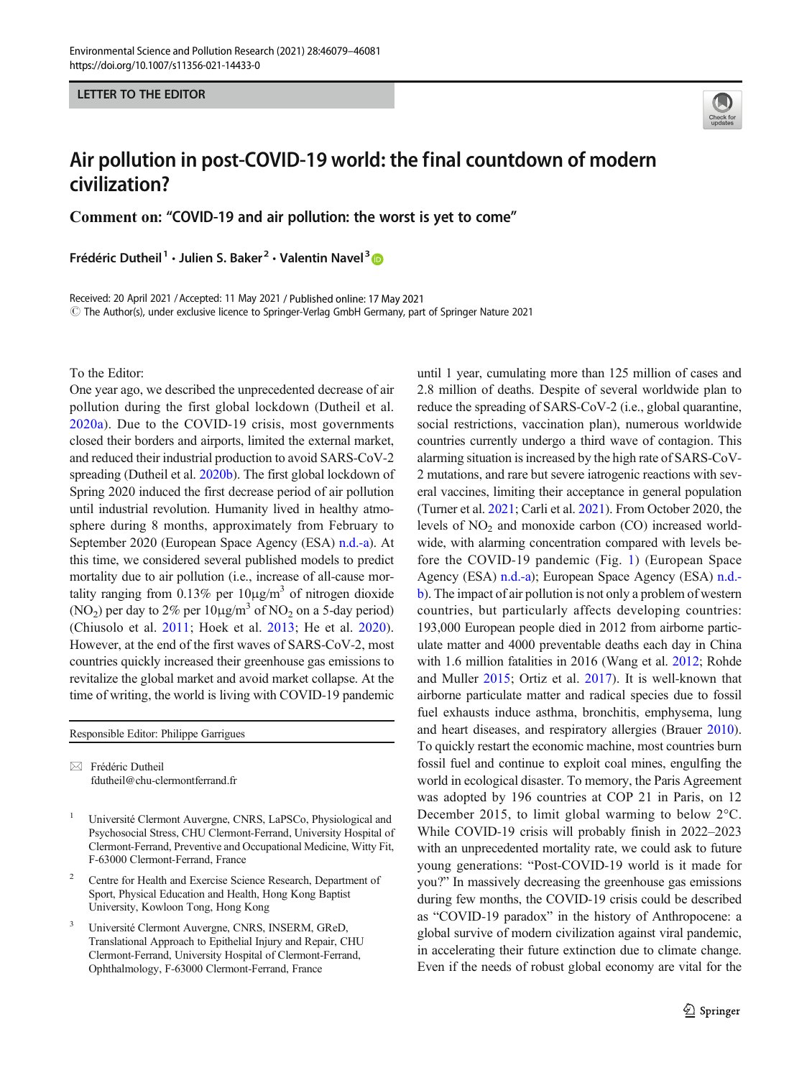LETTER TO THE EDITOR



## Air pollution in post-COVID-19 world: the final countdown of modern civilization?

Comment on: "COVID-19 and air pollution: the worst is yet to come"

Frédéric Dutheil<sup>1</sup> · Julien S. Baker<sup>2</sup> · Valentin Navel<sup>3</sup>

Received: 20 April 2021 /Accepted: 11 May 2021 / Published online: 17 May 2021 $\degree$  The Author(s), under exclusive licence to Springer-Verlag GmbH Germany, part of Springer Nature 2021

To the Editor:

One year ago, we described the unprecedented decrease of air pollution during the first global lockdown (Dutheil et al. [2020a](#page-2-0)). Due to the COVID-19 crisis, most governments closed their borders and airports, limited the external market, and reduced their industrial production to avoid SARS-CoV-2 spreading (Dutheil et al. [2020b\)](#page-2-0). The first global lockdown of Spring 2020 induced the first decrease period of air pollution until industrial revolution. Humanity lived in healthy atmosphere during 8 months, approximately from February to September 2020 (European Space Agency (ESA) [n.d.-a\)](#page-2-0). At this time, we considered several published models to predict mortality due to air pollution (i.e., increase of all-cause mortality ranging from  $0.13\%$  per  $10\mu\text{g/m}^3$  of nitrogen dioxide (NO<sub>2</sub>) per day to 2% per  $10\mu\text{g/m}^3$  of NO<sub>2</sub> on a 5-day period) (Chiusolo et al. [2011](#page-2-0); Hoek et al. [2013](#page-2-0); He et al. [2020](#page-2-0)). However, at the end of the first waves of SARS-CoV-2, most countries quickly increased their greenhouse gas emissions to revitalize the global market and avoid market collapse. At the time of writing, the world is living with COVID-19 pandemic

Responsible Editor: Philippe Garrigues

 $\boxtimes$  Frédéric Dutheil [fdutheil@chu-clermontferrand.fr](mailto:fdutheil@chu-clermontferrand.fr)

- <sup>1</sup> Université Clermont Auvergne, CNRS, LaPSCo, Physiological and Psychosocial Stress, CHU Clermont-Ferrand, University Hospital of Clermont-Ferrand, Preventive and Occupational Medicine, Witty Fit, F-63000 Clermont-Ferrand, France
- <sup>2</sup> Centre for Health and Exercise Science Research, Department of Sport, Physical Education and Health, Hong Kong Baptist University, Kowloon Tong, Hong Kong
- <sup>3</sup> Université Clermont Auvergne, CNRS, INSERM, GReD, Translational Approach to Epithelial Injury and Repair, CHU Clermont-Ferrand, University Hospital of Clermont-Ferrand, Ophthalmology, F-63000 Clermont-Ferrand, France

until 1 year, cumulating more than 125 million of cases and 2.8 million of deaths. Despite of several worldwide plan to reduce the spreading of SARS-CoV-2 (i.e., global quarantine, social restrictions, vaccination plan), numerous worldwide countries currently undergo a third wave of contagion. This alarming situation is increased by the high rate of SARS-CoV-2 mutations, and rare but severe iatrogenic reactions with several vaccines, limiting their acceptance in general population (Turner et al. [2021;](#page-2-0) Carli et al. [2021](#page-2-0)). From October 2020, the levels of  $NO<sub>2</sub>$  and monoxide carbon (CO) increased worldwide, with alarming concentration compared with levels before the COVID-19 pandemic (Fig. [1\)](#page-1-0) (European Space Agency (ESA) [n.d.-a](#page-2-0)); European Space Agency (ESA) [n.d.](#page-2-0) [b](#page-2-0)). The impact of air pollution is not only a problem of western countries, but particularly affects developing countries: 193,000 European people died in 2012 from airborne particulate matter and 4000 preventable deaths each day in China with 1.6 million fatalities in 2016 (Wang et al. [2012;](#page-2-0) Rohde and Muller [2015;](#page-2-0) Ortiz et al. [2017](#page-2-0)). It is well-known that airborne particulate matter and radical species due to fossil fuel exhausts induce asthma, bronchitis, emphysema, lung and heart diseases, and respiratory allergies (Brauer [2010\)](#page-2-0). To quickly restart the economic machine, most countries burn fossil fuel and continue to exploit coal mines, engulfing the world in ecological disaster. To memory, the Paris Agreement was adopted by 196 countries at COP 21 in Paris, on 12 December 2015, to limit global warming to below 2°C. While COVID-19 crisis will probably finish in 2022–2023 with an unprecedented mortality rate, we could ask to future young generations: "Post-COVID-19 world is it made for you?" In massively decreasing the greenhouse gas emissions during few months, the COVID-19 crisis could be described as "COVID-19 paradox" in the history of Anthropocene: a global survive of modern civilization against viral pandemic, in accelerating their future extinction due to climate change. Even if the needs of robust global economy are vital for the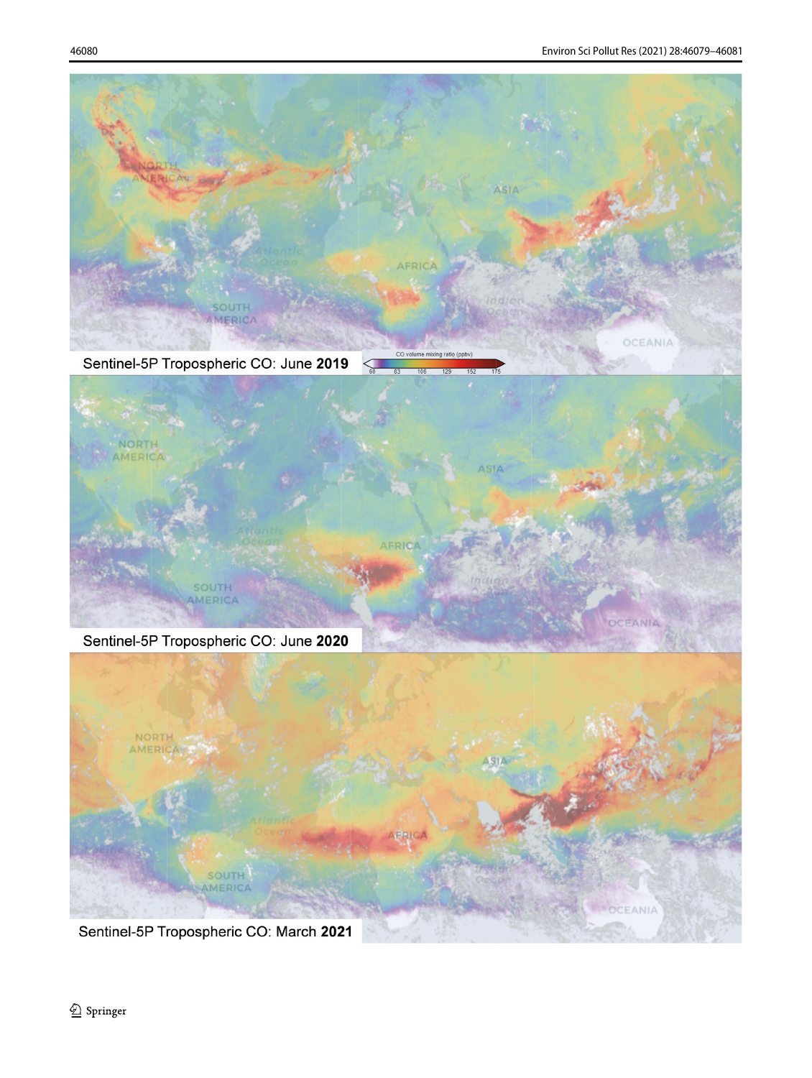<span id="page-1-0"></span>

Sentinel-5P Tropospheric CO: June 2019



Sentinel-5P Tropospheric CO: June 2020